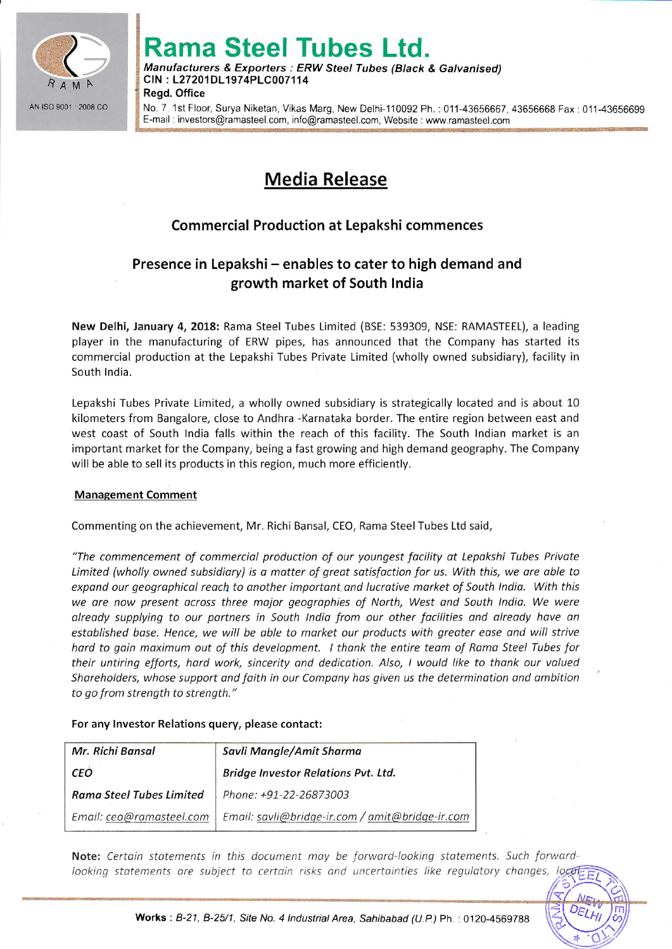

# Rama Steel Tubes Ltd.

Manufacturers & Exporters : ERW Steel Tubes (Black & Galvanised) clN : L27201 DL197 4PLC007 11 4 **Regd. Office** 

No. 7, 1st Floor, Surya Niketan, Vikas Marg, New Delhi-110092 Ph. : 011-43656667, 43656668 Fax : 011-43656699 E-mail: investors@ramasteel.com, info@ramasteel.com, Website : www.ramasteel.com

## Media Release

### Commercial Production at Lepakshi commences

## Presence in Lepakshi - enables to cater to high demand and growth market of South lndia

New Delhi, January 4, 2018: Rama Steel Tubes Limited (BSE: 539309, NSE: RAMASTEEL), a leading player in the manufacturing of ERW pipes, has announced that the Company has started its commercial production at the Lepakshi Tubes Private Limited (wholly owned subsidiary), facility in South India.

Lepakshi Tubes Private Limited, a wholly owned subsidiary is strategically located and is about 10 kilometers from Bangalore, close to Andhra -Karnataka border. The entire region between east and west coast of South lndia falls within the reach of this facility. The South lndian market is an important market for the Company, being a fast growing and high demand geography. The Company will be able to sell its products in this region, much more efficiently.

#### Management Comment

Commenting on the achievement, Mr. Richi Bansal, CEO, Rama Steel Tubes Ltd said,

"The commencement of commerciol production of our youngest focility ot Lepokshi Tubes Private Limited (wholly owned subsidiary) is a matter of great satisfaction for us. With this, we are able to expand our geographical reach to another important and lucrative market of South India. With this we are now present across three major geographies of North, West and South India. We were olreody supplying to our portners in South lndio from our other focilities ond olreody have an established base. Hence, we will be able to market our products with greater ease and will strive hard to gain maximum out of this development. I thank the entire team of Rama Steel Tubes for their untiring efforts, hard work, sincerity and dedication. Also, I would like to thank our valued Shareholders, whose support and faith in our Company has given us the determination and ambition to go from strength to strenqth."

#### For any lnvestor Relations query, please contact:

| Mr. Richi Bansal                | Savli Mangle/Amit Sharma                        |
|---------------------------------|-------------------------------------------------|
| <b>CEO</b>                      | Bridge Investor Relations Pvt. Ltd.             |
| <b>Rama Steel Tubes Limited</b> | Phone: +91-22-26873003                          |
| Email: ceo@ramasteel.com        | Email: savli@bridge-ir.com / amit@bridge-ir.com |

Note: Certain statements in this document may be forward-looking statements. Such forward looking statements are subject to certain risks and uncertainties like regulatory